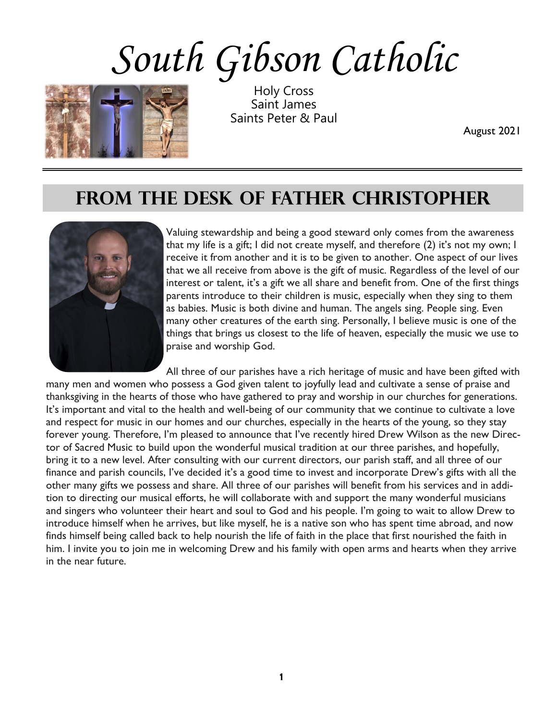# *South Gibson Catholic*



Holy Cross Saint James Saints Peter & Paul

August 2021

#### FROM THE DESK OF FATHER CHRISTOPHER



Valuing stewardship and being a good steward only comes from the awareness that my life is a gift; I did not create myself, and therefore (2) it's not my own; I receive it from another and it is to be given to another. One aspect of our lives that we all receive from above is the gift of music. Regardless of the level of our interest or talent, it's a gift we all share and benefit from. One of the first things parents introduce to their children is music, especially when they sing to them as babies. Music is both divine and human. The angels sing. People sing. Even many other creatures of the earth sing. Personally, I believe music is one of the things that brings us closest to the life of heaven, especially the music we use to praise and worship God.

All three of our parishes have a rich heritage of music and have been gifted with many men and women who possess a God given talent to joyfully lead and cultivate a sense of praise and thanksgiving in the hearts of those who have gathered to pray and worship in our churches for generations. It's important and vital to the health and well-being of our community that we continue to cultivate a love and respect for music in our homes and our churches, especially in the hearts of the young, so they stay forever young. Therefore, I'm pleased to announce that I've recently hired Drew Wilson as the new Director of Sacred Music to build upon the wonderful musical tradition at our three parishes, and hopefully, bring it to a new level. After consulting with our current directors, our parish staff, and all three of our finance and parish councils, I've decided it's a good time to invest and incorporate Drew's gifts with all the other many gifts we possess and share. All three of our parishes will benefit from his services and in addition to directing our musical efforts, he will collaborate with and support the many wonderful musicians and singers who volunteer their heart and soul to God and his people. I'm going to wait to allow Drew to introduce himself when he arrives, but like myself, he is a native son who has spent time abroad, and now finds himself being called back to help nourish the life of faith in the place that first nourished the faith in him. I invite you to join me in welcoming Drew and his family with open arms and hearts when they arrive in the near future.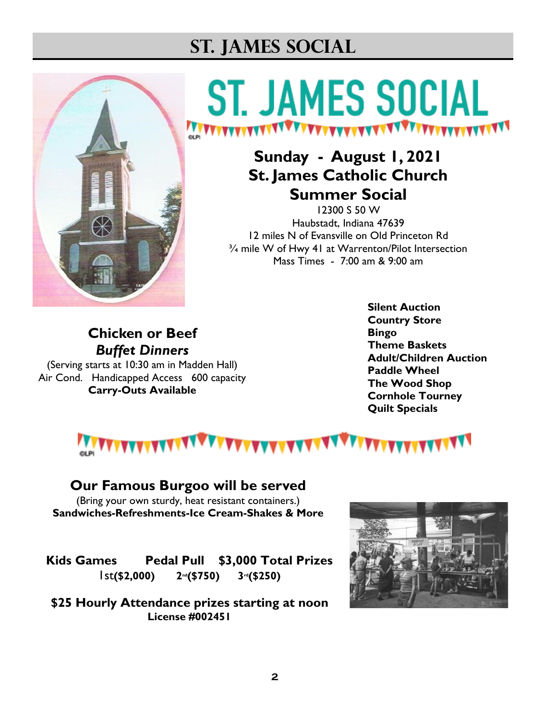### **St. James Social**



## **ST. JAMES SOCIAL**

#### **Sunday - August 1, 2021 St. James Catholic Church Summer Social**

12300 S 50 W Haubstadt, Indiana 47639 12 miles N of Evansville on Old Princeton Rd ¾ mile W of Hwy 41 at Warrenton/Pilot Intersection Mass Times - 7:00 am & 9:00 am

#### **Chicken or Beef** *Buffet Dinners*

(Serving starts at 10:30 am in Madden Hall) Air Cond. Handicapped Access 600 capacity **Carry-Outs Available**

**Silent Auction Country Store Bingo Theme Baskets Adult/Children Auction Paddle Wheel The Wood Shop Cornhole Tourney Quilt Specials**



#### **Our Famous Burgoo will be served**

(Bring your own sturdy, heat resistant containers.) **Sandwiches-Refreshments-Ice Cream-Shakes & More**

**Kids Games Pedal Pull \$3,000 Total Prizes**  1st**(\$2,000) 2nd(\$750) 3rd(\$250)**

**\$25 Hourly Attendance prizes starting at noon License #002451**

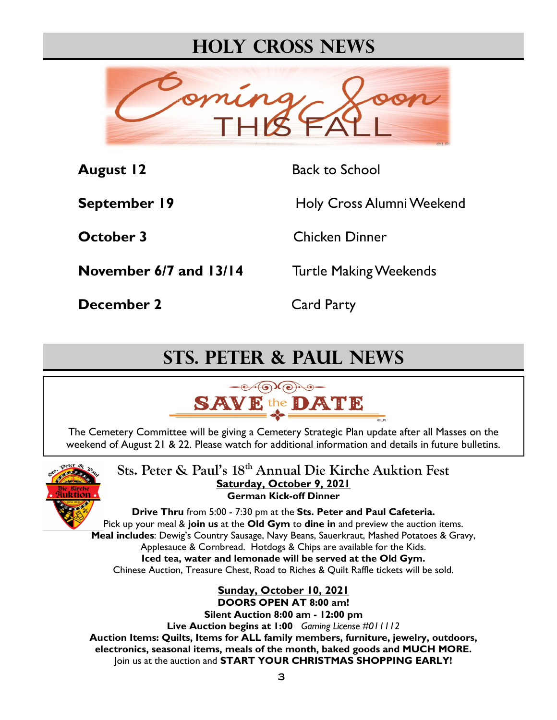#### **Holy Cross News**



**August 12** Back to School

**September 19** Holy Cross Alumni Weekend

**October 3** Chicken Dinner

**November 6/7 and 13/14** Turtle Making Weekends

**December 2** Card Party

### **Sts. Peter & Paul News**



The Cemetery Committee will be giving a Cemetery Strategic Plan update after all Masses on the weekend of August 21 & 22. Please watch for additional information and details in future bulletins.



**Sts. Peter & Paul's 18th Annual Die Kirche Auktion Fest Saturday, October 9, 2021 German Kick-off Dinner** 

**Drive Thru** from 5:00 - 7:30 pm at the **Sts. Peter and Paul Cafeteria.** Pick up your meal & **join us** at the **Old Gym** to **dine in** and preview the auction items. **Meal includes**: Dewig's Country Sausage, Navy Beans, Sauerkraut, Mashed Potatoes & Gravy, Applesauce & Cornbread. Hotdogs & Chips are available for the Kids. **Iced tea, water and lemonade will be served at the Old Gym.** Chinese Auction, Treasure Chest, Road to Riches & Quilt Raffle tickets will be sold.

**Sunday, October 10, 2021 DOORS OPEN AT 8:00 am! Silent Auction 8:00 am - 12:00 pm Live Auction begins at 1:00** *Gaming License #011112* **Auction Items: Quilts, Items for ALL family members, furniture, jewelry, outdoors, electronics, seasonal items, meals of the month, baked goods and MUCH MORE.** Join us at the auction and **START YOUR CHRISTMAS SHOPPING EARLY!**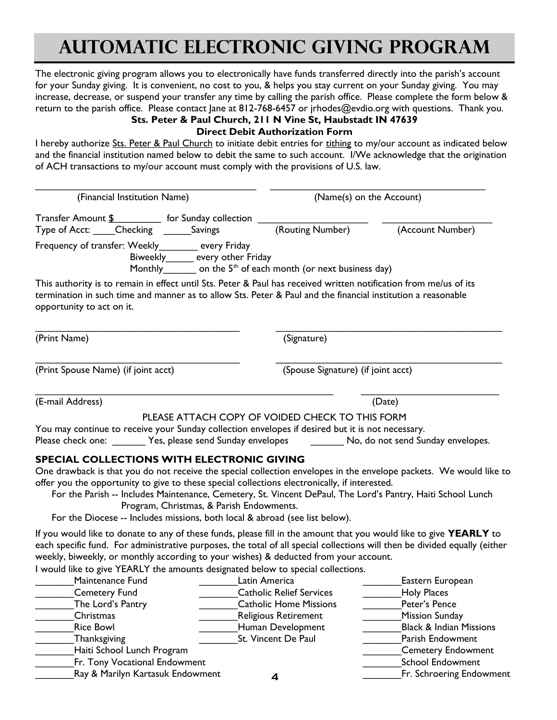### **AUTOMATIC ELECTRONIC GIVING PROGRAM**

The electronic giving program allows you to electronically have funds transferred directly into the parish's account for your Sunday giving. It is convenient, no cost to you, & helps you stay current on your Sunday giving. You may increase, decrease, or suspend your transfer any time by calling the parish office. Please complete the form below & return to the parish office. Please contact Jane at 812-768-6457 or jrhodes@evdio.org with questions. Thank you. **Sts. Peter & Paul Church, 211 N Vine St, Haubstadt IN 47639**

#### **Direct Debit Authorization Form**

I hereby authorize Sts. Peter & Paul Church to initiate debit entries for tithing to my/our account as indicated below and the financial institution named below to debit the same to such account. I/We acknowledge that the origination of ACH transactions to my/our account must comply with the provisions of U.S. law.

| (Financial Institution Name)           |                                                                                                                                                                                                                                                                               |                                    | (Name(s) on the Account)                                                                                                                                                                                                          |  |
|----------------------------------------|-------------------------------------------------------------------------------------------------------------------------------------------------------------------------------------------------------------------------------------------------------------------------------|------------------------------------|-----------------------------------------------------------------------------------------------------------------------------------------------------------------------------------------------------------------------------------|--|
| Type of Acct: Checking _______ Savings | Transfer Amount \$ __________ for Sunday collection _                                                                                                                                                                                                                         | (Routing Number)                   | (Account Number)                                                                                                                                                                                                                  |  |
|                                        | Frequency of transfer: Weekly_________ every Friday<br>Biweekly______ every other Friday<br>Monthly on the $5th$ of each month (or next business day)                                                                                                                         |                                    |                                                                                                                                                                                                                                   |  |
| opportunity to act on it.              | This authority is to remain in effect until Sts. Peter & Paul has received written notification from me/us of its<br>termination in such time and manner as to allow Sts. Peter & Paul and the financial institution a reasonable                                             |                                    |                                                                                                                                                                                                                                   |  |
| (Print Name)                           |                                                                                                                                                                                                                                                                               | (Signature)                        |                                                                                                                                                                                                                                   |  |
| (Print Spouse Name) (if joint acct)    |                                                                                                                                                                                                                                                                               | (Spouse Signature) (if joint acct) |                                                                                                                                                                                                                                   |  |
| (E-mail Address)                       |                                                                                                                                                                                                                                                                               |                                    | (Date)                                                                                                                                                                                                                            |  |
|                                        |                                                                                                                                                                                                                                                                               |                                    |                                                                                                                                                                                                                                   |  |
|                                        | PLEASE ATTACH COPY OF VOIDED CHECK TO THIS FORM                                                                                                                                                                                                                               |                                    |                                                                                                                                                                                                                                   |  |
|                                        | You may continue to receive your Sunday collection envelopes if desired but it is not necessary.                                                                                                                                                                              |                                    |                                                                                                                                                                                                                                   |  |
|                                        | Please check one: Yes, please send Sunday envelopes                                                                                                                                                                                                                           |                                    | No, do not send Sunday envelopes.                                                                                                                                                                                                 |  |
|                                        | <b>SPECIAL COLLECTIONS WITH ELECTRONIC GIVING</b><br>offer you the opportunity to give to these special collections electronically, if interested.<br>Program, Christmas, & Parish Endowments.<br>For the Diocese -- Includes missions, both local & abroad (see list below). |                                    | One drawback is that you do not receive the special collection envelopes in the envelope packets. We would like to<br>For the Parish -- Includes Maintenance, Cemetery, St. Vincent DePaul, The Lord's Pantry, Haiti School Lunch |  |
|                                        |                                                                                                                                                                                                                                                                               |                                    | If you would like to donate to any of these funds, please fill in the amount that you would like to give YEARLY to                                                                                                                |  |
|                                        |                                                                                                                                                                                                                                                                               |                                    | each specific fund. For administrative purposes, the total of all special collections will then be divided equally (either                                                                                                        |  |
|                                        | weekly, biweekly, or monthly according to your wishes) & deducted from your account.                                                                                                                                                                                          |                                    |                                                                                                                                                                                                                                   |  |
|                                        | I would like to give YEARLY the amounts designated below to special collections.                                                                                                                                                                                              |                                    |                                                                                                                                                                                                                                   |  |
| Maintenance Fund                       |                                                                                                                                                                                                                                                                               | Latin America                      | Eastern European                                                                                                                                                                                                                  |  |
| <b>Cemetery Fund</b>                   |                                                                                                                                                                                                                                                                               | <b>Catholic Relief Services</b>    | <b>Holy Places</b>                                                                                                                                                                                                                |  |
| The Lord's Pantry                      |                                                                                                                                                                                                                                                                               | <b>Catholic Home Missions</b>      | Peter's Pence                                                                                                                                                                                                                     |  |
| Christmas                              |                                                                                                                                                                                                                                                                               | Religious Retirement               | <b>Mission Sunday</b>                                                                                                                                                                                                             |  |
| <b>Rice Bowl</b>                       |                                                                                                                                                                                                                                                                               | Human Development                  | <b>Black &amp; Indian Missions</b>                                                                                                                                                                                                |  |
| Thanksgiving                           |                                                                                                                                                                                                                                                                               | St. Vincent De Paul                | Parish Endowment                                                                                                                                                                                                                  |  |
| Haiti School Lunch Program             |                                                                                                                                                                                                                                                                               |                                    | <b>Cemetery Endowment</b>                                                                                                                                                                                                         |  |
| Fr. Tony Vocational Endowment          |                                                                                                                                                                                                                                                                               |                                    | <b>School Endowment</b>                                                                                                                                                                                                           |  |
| Ray & Marilyn Kartasuk Endowment       |                                                                                                                                                                                                                                                                               |                                    | Fr. Schroering Endowment                                                                                                                                                                                                          |  |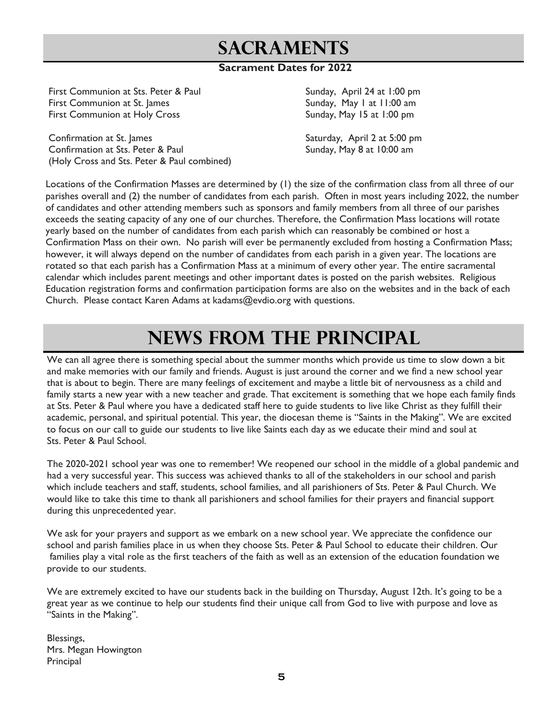### **Sacraments**

#### **Sacrament Dates for 2022**

First Communion at Sts. Peter & Paul Sunday, April 24 at 1:00 pm First Communion at St. James Sunday, May 1 at 11:00 am First Communion at Holy Cross The Sunday, May 15 at 1:00 pm

Confirmation at St. James Saturday, April 2 at 5:00 pm Confirmation at Sts. Peter & Paul Sunday, May 8 at 10:00 am (Holy Cross and Sts. Peter & Paul combined)

Locations of the Confirmation Masses are determined by (1) the size of the confirmation class from all three of our parishes overall and (2) the number of candidates from each parish. Often in most years including 2022, the number of candidates and other attending members such as sponsors and family members from all three of our parishes exceeds the seating capacity of any one of our churches. Therefore, the Confirmation Mass locations will rotate yearly based on the number of candidates from each parish which can reasonably be combined or host a Confirmation Mass on their own. No parish will ever be permanently excluded from hosting a Confirmation Mass; however, it will always depend on the number of candidates from each parish in a given year. The locations are rotated so that each parish has a Confirmation Mass at a minimum of every other year. The entire sacramental calendar which includes parent meetings and other important dates is posted on the parish websites. Religious Education registration forms and confirmation participation forms are also on the websites and in the back of each Church. Please contact Karen Adams at kadams@evdio.org with questions.

### **NEWS from the principal**

We can all agree there is something special about the summer months which provide us time to slow down a bit and make memories with our family and friends. August is just around the corner and we find a new school year that is about to begin. There are many feelings of excitement and maybe a little bit of nervousness as a child and family starts a new year with a new teacher and grade. That excitement is something that we hope each family finds at Sts. Peter & Paul where you have a dedicated staff here to guide students to live like Christ as they fulfill their academic, personal, and spiritual potential. This year, the diocesan theme is "Saints in the Making". We are excited to focus on our call to guide our students to live like Saints each day as we educate their mind and soul at Sts. Peter & Paul School.

The 2020-2021 school year was one to remember! We reopened our school in the middle of a global pandemic and had a very successful year. This success was achieved thanks to all of the stakeholders in our school and parish which include teachers and staff, students, school families, and all parishioners of Sts. Peter & Paul Church. We would like to take this time to thank all parishioners and school families for their prayers and financial support during this unprecedented year.

We ask for your prayers and support as we embark on a new school year. We appreciate the confidence our school and parish families place in us when they choose Sts. Peter & Paul School to educate their children. Our families play a vital role as the first teachers of the faith as well as an extension of the education foundation we provide to our students.

We are extremely excited to have our students back in the building on Thursday, August 12th. It's going to be a great year as we continue to help our students find their unique call from God to live with purpose and love as "Saints in the Making".

Blessings, Mrs. Megan Howington **Principal**